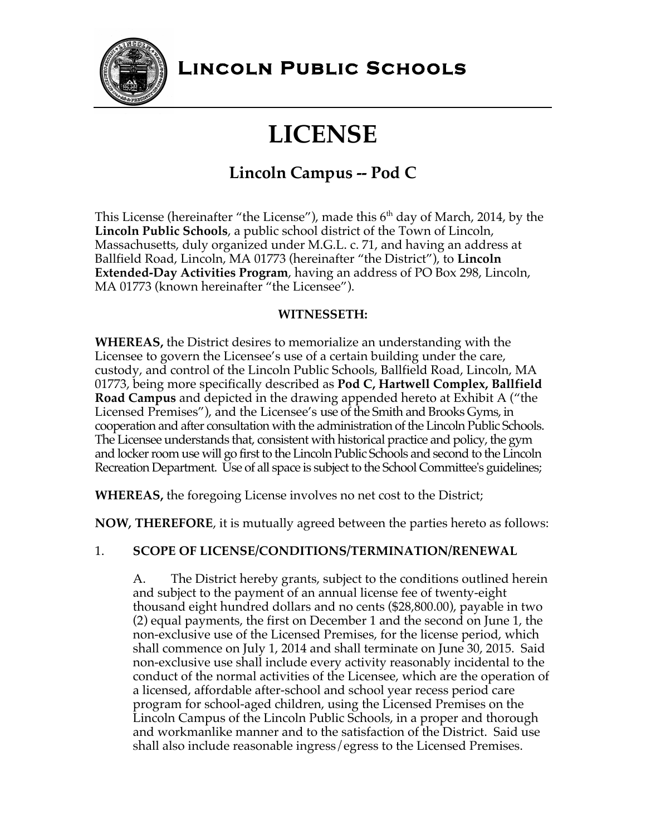

## **Lincoln Public Schools**

# **LICENSE**

## **Lincoln Campus -- Pod C**

This License (hereinafter "the License"), made this  $6<sup>th</sup>$  day of March, 2014, by the **Lincoln Public Schools**, a public school district of the Town of Lincoln, Massachusetts, duly organized under M.G.L. c. 71, and having an address at Ballfield Road, Lincoln, MA 01773 (hereinafter "the District"), to **Lincoln Extended-Day Activities Program**, having an address of PO Box 298, Lincoln, MA 01773 (known hereinafter "the Licensee").

#### **WITNESSETH:**

**WHEREAS,** the District desires to memorialize an understanding with the Licensee to govern the Licensee's use of a certain building under the care, custody, and control of the Lincoln Public Schools, Ballfield Road, Lincoln, MA 01773, being more specifically described as **Pod C, Hartwell Complex, Ballfield Road Campus** and depicted in the drawing appended hereto at Exhibit A ("the Licensed Premises"), and the Licensee's use of the Smith and Brooks Gyms, in cooperation and after consultation with the administration of the Lincoln Public Schools. The Licensee understands that, consistent with historical practice and policy, the gym and locker room use will go first to the Lincoln Public Schools and second to the Lincoln Recreation Department. Use of all space is subject to the School Committee's guidelines;

**WHEREAS,** the foregoing License involves no net cost to the District;

**NOW***,* **THEREFORE**, it is mutually agreed between the parties hereto as follows:

#### 1. **SCOPE OF LICENSE/CONDITIONS/TERMINATION/RENEWAL**

A. The District hereby grants, subject to the conditions outlined herein and subject to the payment of an annual license fee of twenty-eight thousand eight hundred dollars and no cents (\$28,800.00), payable in two (2) equal payments, the first on December 1 and the second on June 1, the non-exclusive use of the Licensed Premises, for the license period, which shall commence on July 1, 2014 and shall terminate on June 30, 2015. Said non-exclusive use shall include every activity reasonably incidental to the conduct of the normal activities of the Licensee, which are the operation of a licensed, affordable after-school and school year recess period care program for school-aged children, using the Licensed Premises on the Lincoln Campus of the Lincoln Public Schools, in a proper and thorough and workmanlike manner and to the satisfaction of the District. Said use shall also include reasonable ingress/egress to the Licensed Premises.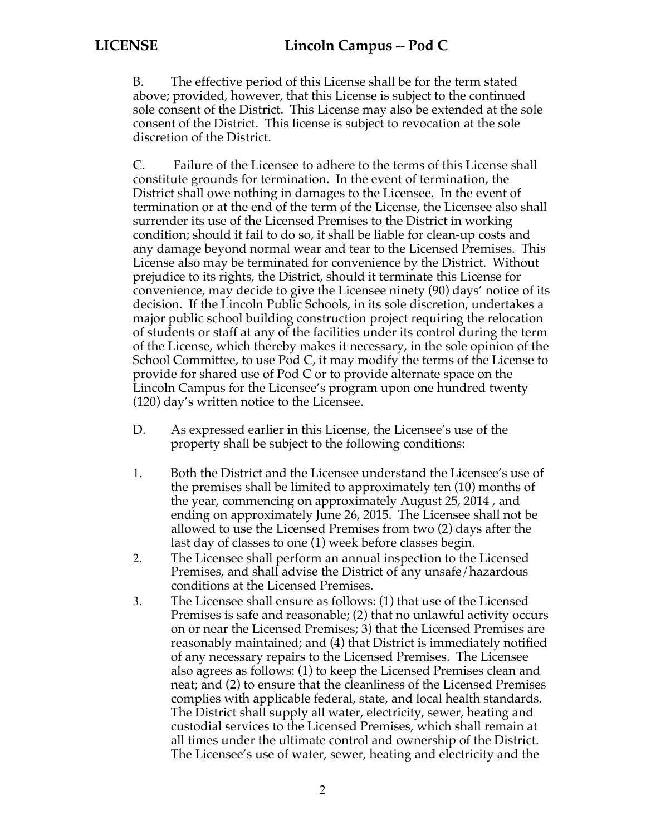B. The effective period of this License shall be for the term stated above; provided, however, that this License is subject to the continued sole consent of the District. This License may also be extended at the sole consent of the District. This license is subject to revocation at the sole discretion of the District.

C. Failure of the Licensee to adhere to the terms of this License shall constitute grounds for termination. In the event of termination, the District shall owe nothing in damages to the Licensee. In the event of termination or at the end of the term of the License, the Licensee also shall surrender its use of the Licensed Premises to the District in working condition; should it fail to do so, it shall be liable for clean-up costs and any damage beyond normal wear and tear to the Licensed Premises. This License also may be terminated for convenience by the District. Without prejudice to its rights, the District, should it terminate this License for convenience, may decide to give the Licensee ninety (90) days' notice of its decision. If the Lincoln Public Schools, in its sole discretion, undertakes a major public school building construction project requiring the relocation of students or staff at any of the facilities under its control during the term of the License, which thereby makes it necessary, in the sole opinion of the School Committee, to use Pod C, it may modify the terms of the License to provide for shared use of Pod C or to provide alternate space on the Lincoln Campus for the Licensee's program upon one hundred twenty (120) day's written notice to the Licensee.

- D. As expressed earlier in this License, the Licensee's use of the property shall be subject to the following conditions:
- 1. Both the District and the Licensee understand the Licensee's use of the premises shall be limited to approximately ten (10) months of the year, commencing on approximately August 25, 2014 , and ending on approximately June 26, 2015. The Licensee shall not be allowed to use the Licensed Premises from two (2) days after the last day of classes to one (1) week before classes begin.
- 2. The Licensee shall perform an annual inspection to the Licensed Premises, and shall advise the District of any unsafe/hazardous conditions at the Licensed Premises.
- 3. The Licensee shall ensure as follows: (1) that use of the Licensed Premises is safe and reasonable; (2) that no unlawful activity occurs on or near the Licensed Premises; 3) that the Licensed Premises are reasonably maintained; and (4) that District is immediately notified of any necessary repairs to the Licensed Premises. The Licensee also agrees as follows: (1) to keep the Licensed Premises clean and neat; and (2) to ensure that the cleanliness of the Licensed Premises complies with applicable federal, state, and local health standards. The District shall supply all water, electricity, sewer, heating and custodial services to the Licensed Premises, which shall remain at all times under the ultimate control and ownership of the District. The Licensee's use of water, sewer, heating and electricity and the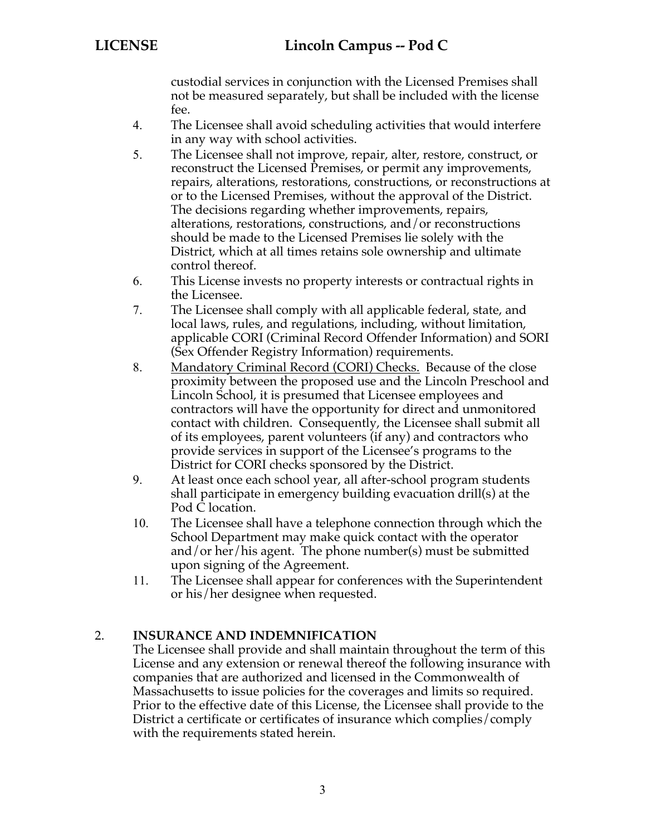custodial services in conjunction with the Licensed Premises shall not be measured separately, but shall be included with the license fee.

- 4. The Licensee shall avoid scheduling activities that would interfere in any way with school activities.
- 5. The Licensee shall not improve, repair, alter, restore, construct, or reconstruct the Licensed Premises, or permit any improvements, repairs, alterations, restorations, constructions, or reconstructions at or to the Licensed Premises, without the approval of the District. The decisions regarding whether improvements, repairs, alterations, restorations, constructions, and/or reconstructions should be made to the Licensed Premises lie solely with the District, which at all times retains sole ownership and ultimate control thereof.
- 6. This License invests no property interests or contractual rights in the Licensee.
- 7. The Licensee shall comply with all applicable federal, state, and local laws, rules, and regulations, including, without limitation, applicable CORI (Criminal Record Offender Information) and SORI (Sex Offender Registry Information) requirements.
- 8. Mandatory Criminal Record (CORI) Checks. Because of the close proximity between the proposed use and the Lincoln Preschool and Lincoln School, it is presumed that Licensee employees and contractors will have the opportunity for direct and unmonitored contact with children. Consequently, the Licensee shall submit all of its employees, parent volunteers (if any) and contractors who provide services in support of the Licensee's programs to the District for CORI checks sponsored by the District.
- 9. At least once each school year, all after-school program students shall participate in emergency building evacuation drill(s) at the Pod  $\tilde{C}$  location.
- 10. The Licensee shall have a telephone connection through which the School Department may make quick contact with the operator and/or her/his agent. The phone number(s) must be submitted upon signing of the Agreement.
- 11. The Licensee shall appear for conferences with the Superintendent or his/her designee when requested.

#### 2. **INSURANCE AND INDEMNIFICATION**

The Licensee shall provide and shall maintain throughout the term of this License and any extension or renewal thereof the following insurance with companies that are authorized and licensed in the Commonwealth of Massachusetts to issue policies for the coverages and limits so required. Prior to the effective date of this License, the Licensee shall provide to the District a certificate or certificates of insurance which complies/comply with the requirements stated herein.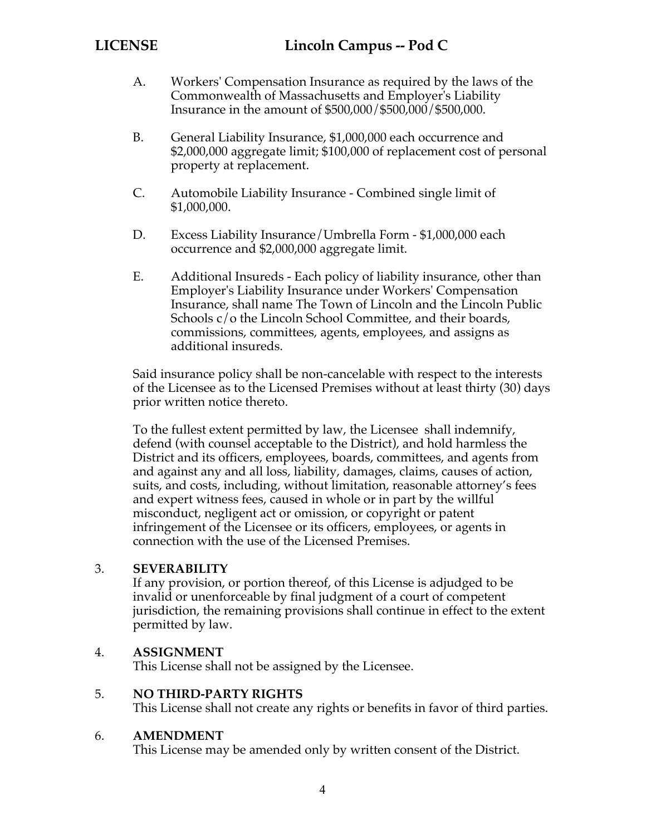- A. Workers' Compensation Insurance as required by the laws of the Commonwealth of Massachusetts and Employer's Liability Insurance in the amount of \$500,000/\$500,000/\$500,000.
- B. General Liability Insurance, \$1,000,000 each occurrence and \$2,000,000 aggregate limit; \$100,000 of replacement cost of personal property at replacement.
- C. Automobile Liability Insurance Combined single limit of \$1,000,000.
- D. Excess Liability Insurance/Umbrella Form \$1,000,000 each occurrence and \$2,000,000 aggregate limit.
- E. Additional Insureds Each policy of liability insurance, other than Employer's Liability Insurance under Workers' Compensation Insurance, shall name The Town of Lincoln and the Lincoln Public Schools c/o the Lincoln School Committee, and their boards, commissions, committees, agents, employees, and assigns as additional insureds.

Said insurance policy shall be non-cancelable with respect to the interests of the Licensee as to the Licensed Premises without at least thirty (30) days prior written notice thereto.

To the fullest extent permitted by law, the Licensee shall indemnify, defend (with counsel acceptable to the District), and hold harmless the District and its officers, employees, boards, committees, and agents from and against any and all loss, liability, damages, claims, causes of action, suits, and costs, including, without limitation, reasonable attorney's fees and expert witness fees, caused in whole or in part by the willful misconduct, negligent act or omission, or copyright or patent infringement of the Licensee or its officers, employees, or agents in connection with the use of the Licensed Premises.

#### 3. **SEVERABILITY**

If any provision, or portion thereof, of this License is adjudged to be invalid or unenforceable by final judgment of a court of competent jurisdiction, the remaining provisions shall continue in effect to the extent permitted by law.

#### 4. **ASSIGNMENT**

This License shall not be assigned by the Licensee.

#### 5. **NO THIRD-PARTY RIGHTS**

This License shall not create any rights or benefits in favor of third parties.

#### 6. **AMENDMENT**

This License may be amended only by written consent of the District.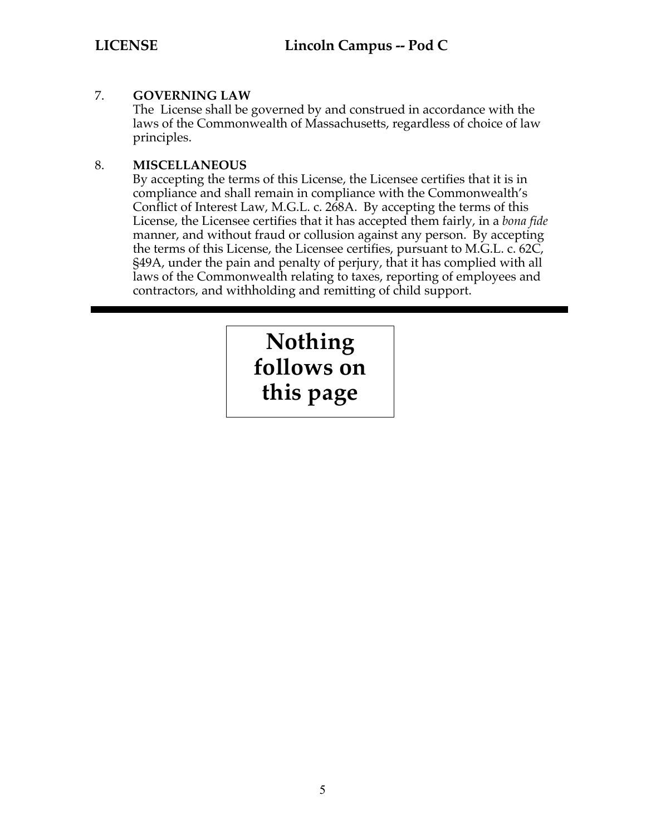#### 7. **GOVERNING LAW**

The License shall be governed by and construed in accordance with the laws of the Commonwealth of Massachusetts, regardless of choice of law principles.

#### 8. **MISCELLANEOUS**

By accepting the terms of this License, the Licensee certifies that it is in compliance and shall remain in compliance with the Commonwealth's Conflict of Interest Law, M.G.L. c. 268A. By accepting the terms of this License, the Licensee certifies that it has accepted them fairly, in a *bona fide* manner, and without fraud or collusion against any person. By accepting the terms of this License, the Licensee certifies, pursuant to M.G.L. c. 62C, §49A, under the pain and penalty of perjury, that it has complied with all laws of the Commonwealth relating to taxes, reporting of employees and contractors, and withholding and remitting of child support.

# **Nothing follows on this page**